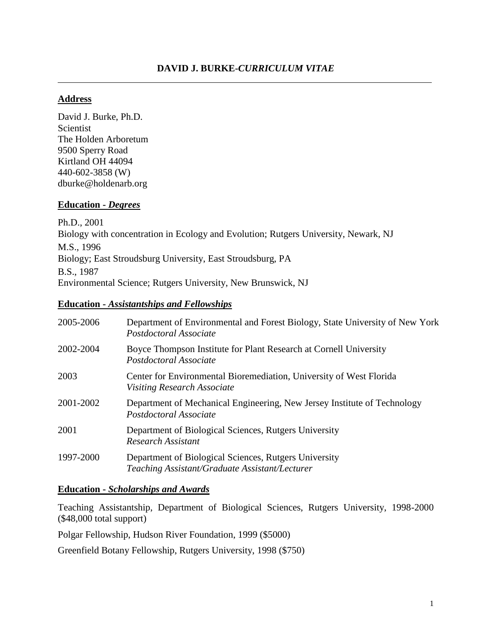## **Address**

David J. Burke, Ph.D. Scientist The Holden Arboretum 9500 Sperry Road Kirtland OH 44094 440-602-3858 (W) dburke@holdenarb.org

### **Education -** *Degrees*

Ph.D., 2001 Biology with concentration in Ecology and Evolution; Rutgers University, Newark, NJ M.S., 1996 Biology; East Stroudsburg University, East Stroudsburg, PA B.S., 1987 Environmental Science; Rutgers University, New Brunswick, NJ

### **Education -** *Assistantships and Fellowships*

| 2005-2006 | Department of Environmental and Forest Biology, State University of New York<br>Postdoctoral Associate    |
|-----------|-----------------------------------------------------------------------------------------------------------|
| 2002-2004 | Boyce Thompson Institute for Plant Research at Cornell University<br>Postdoctoral Associate               |
| 2003      | Center for Environmental Bioremediation, University of West Florida<br><b>Visiting Research Associate</b> |
| 2001-2002 | Department of Mechanical Engineering, New Jersey Institute of Technology<br>Postdoctoral Associate        |
| 2001      | Department of Biological Sciences, Rutgers University<br>Research Assistant                               |
| 1997-2000 | Department of Biological Sciences, Rutgers University<br>Teaching Assistant/Graduate Assistant/Lecturer   |

### **Education -** *Scholarships and Awards*

Teaching Assistantship, Department of Biological Sciences, Rutgers University, 1998-2000 (\$48,000 total support)

Polgar Fellowship, Hudson River Foundation, 1999 (\$5000)

Greenfield Botany Fellowship, Rutgers University, 1998 (\$750)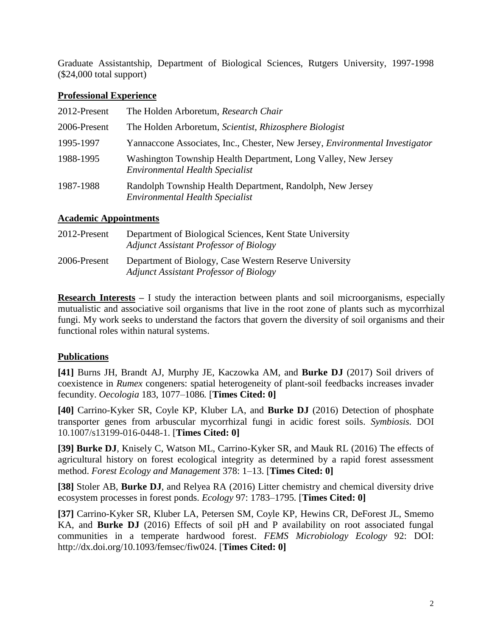Graduate Assistantship, Department of Biological Sciences, Rutgers University, 1997-1998 (\$24,000 total support)

## **Professional Experience**

| 2012-Present | The Holden Arboretum, Research Chair                                                                     |
|--------------|----------------------------------------------------------------------------------------------------------|
| 2006-Present | The Holden Arboretum, Scientist, Rhizosphere Biologist                                                   |
| 1995-1997    | Yannaccone Associates, Inc., Chester, New Jersey, <i>Environmental Investigator</i>                      |
| 1988-1995    | Washington Township Health Department, Long Valley, New Jersey<br><b>Environmental Health Specialist</b> |
| 1987-1988    | Randolph Township Health Department, Randolph, New Jersey<br><b>Environmental Health Specialist</b>      |

# **Academic Appointments**

| 2012-Present | Department of Biological Sciences, Kent State University<br><b>Adjunct Assistant Professor of Biology</b> |
|--------------|-----------------------------------------------------------------------------------------------------------|
| 2006-Present | Department of Biology, Case Western Reserve University<br><b>Adjunct Assistant Professor of Biology</b>   |

**Research Interests –** I study the interaction between plants and soil microorganisms, especially mutualistic and associative soil organisms that live in the root zone of plants such as mycorrhizal fungi. My work seeks to understand the factors that govern the diversity of soil organisms and their functional roles within natural systems.

# **Publications**

**[41]** Burns JH, Brandt AJ, Murphy JE, Kaczowka AM, and **Burke DJ** (2017) Soil drivers of coexistence in *Rumex* congeners: spatial heterogeneity of plant-soil feedbacks increases invader fecundity. *Oecologia* 183, 1077–1086*.* [**Times Cited: 0]**

**[40]** Carrino-Kyker SR, Coyle KP, Kluber LA, and **Burke DJ** (2016) Detection of phosphate transporter genes from arbuscular mycorrhizal fungi in acidic forest soils. *Symbiosis.* DOI 10.1007/s13199-016-0448-1. [**Times Cited: 0]**

**[39] Burke DJ**, Knisely C, Watson ML, Carrino-Kyker SR, and Mauk RL (2016) The effects of agricultural history on forest ecological integrity as determined by a rapid forest assessment method. *Forest Ecology and Management* 378: 1–13. [**Times Cited: 0]**

**[38]** Stoler AB, **Burke DJ**, and Relyea RA (2016) Litter chemistry and chemical diversity drive ecosystem processes in forest ponds. *Ecology* 97: 1783–1795*.* [**Times Cited: 0]**

**[37]** Carrino-Kyker SR, Kluber LA, Petersen SM, Coyle KP, Hewins CR, DeForest JL, Smemo KA, and **Burke DJ** (2016) Effects of soil pH and P availability on root associated fungal communities in a temperate hardwood forest. *FEMS Microbiology Ecology* 92: DOI: http://dx.doi.org/10.1093/femsec/fiw024. [**Times Cited: 0]**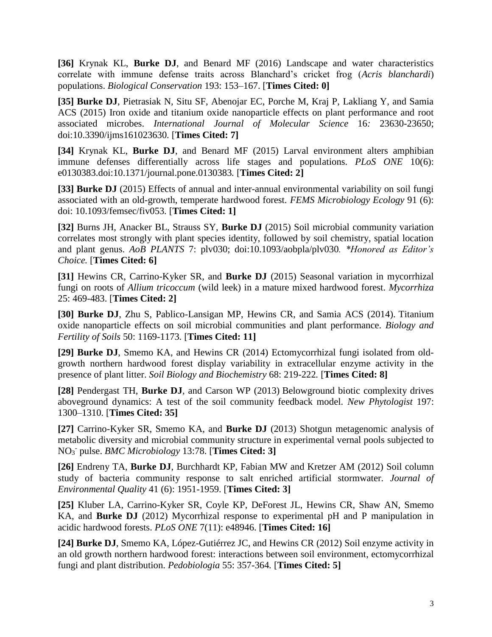**[36]** Krynak KL, **Burke DJ**, and Benard MF (2016) Landscape and water characteristics correlate with immune defense traits across Blanchard's cricket frog (*Acris blanchardi*) populations. *Biological Conservation* 193: 153–167. [**Times Cited: 0]**

**[35] Burke DJ**, Pietrasiak N, Situ SF, Abenojar EC, Porche M, Kraj P, Lakliang Y, and Samia ACS (2015) Iron oxide and titanium oxide nanoparticle effects on plant performance and root associated microbes. *International Journal of Molecular Science* 16*:* 23630-23650; doi:10.3390/ijms161023630*.* [**Times Cited: 7]**

**[34]** Krynak KL, **Burke DJ**, and Benard MF (2015) Larval environment alters amphibian immune defenses differentially across life stages and populations. *PLoS ONE* 10(6): e0130383.doi:10.1371/journal.pone.0130383*.* [**Times Cited: 2]**

**[33] Burke DJ** (2015) Effects of annual and inter-annual environmental variability on soil fungi associated with an old-growth, temperate hardwood forest. *FEMS Microbiology Ecology* 91 (6): doi: 10.1093/femsec/fiv053*.* [**Times Cited: 1]**

**[32]** Burns JH, Anacker BL, Strauss SY, **Burke DJ** (2015) Soil microbial community variation correlates most strongly with plant species identity, followed by soil chemistry, spatial location and plant genus. *AoB PLANTS* 7: plv030; doi:10.1093/aobpla/plv030*. \*Honored as Editor's Choice.* [**Times Cited: 6]**

**[31]** Hewins CR, Carrino-Kyker SR, and **Burke DJ** (2015) Seasonal variation in mycorrhizal fungi on roots of *Allium tricoccum* (wild leek) in a mature mixed hardwood forest. *Mycorrhiza* 25: 469-483. [**Times Cited: 2]**

**[30] Burke DJ**, Zhu S, Pablico-Lansigan MP, Hewins CR, and Samia ACS (2014). Titanium oxide nanoparticle effects on soil microbial communities and plant performance. *Biology and Fertility of Soils* 50: 1169-1173*.* [**Times Cited: 11]**

**[29] Burke DJ**, Smemo KA, and Hewins CR (2014) Ectomycorrhizal fungi isolated from oldgrowth northern hardwood forest display variability in extracellular enzyme activity in the presence of plant litter. *Soil Biology and Biochemistry* 68: 219-222*.* [**Times Cited: 8]**

**[28]** Pendergast TH, **Burke DJ**, and Carson WP (2013) Belowground biotic complexity drives aboveground dynamics: A test of the soil community feedback model. *New Phytologist* 197: 1300–1310. [**Times Cited: 35]**

**[27]** Carrino-Kyker SR, Smemo KA, and **Burke DJ** (2013) Shotgun metagenomic analysis of metabolic diversity and microbial community structure in experimental vernal pools subjected to NO<sup>3</sup> - pulse. *BMC Microbiology* 13:78. [**Times Cited: 3]**

**[26]** Endreny TA, **Burke DJ**, Burchhardt KP, Fabian MW and Kretzer AM (2012) Soil column study of bacteria community response to salt enriched artificial stormwater. *Journal of Environmental Quality* 41 (6): 1951-1959. [**Times Cited: 3]**

**[25]** Kluber LA, Carrino-Kyker SR, Coyle KP, DeForest JL, Hewins CR, Shaw AN, Smemo KA, and **Burke DJ** (2012) Mycorrhizal response to experimental pH and P manipulation in acidic hardwood forests. *PLoS ONE* 7(11): e48946. [**Times Cited: 16]**

**[24] Burke DJ**, Smemo KA, López-Gutiérrez JC, and Hewins CR (2012) Soil enzyme activity in an old growth northern hardwood forest: interactions between soil environment, ectomycorrhizal fungi and plant distribution. *Pedobiologia* 55: 357-364*.* [**Times Cited: 5]**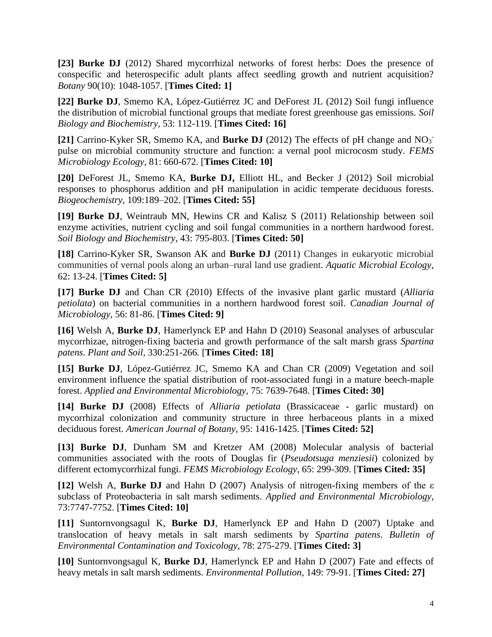**[23] Burke DJ** (2012) Shared mycorrhizal networks of forest herbs: Does the presence of conspecific and heterospecific adult plants affect seedling growth and nutrient acquisition? *Botany* 90(10): 1048-1057. [**Times Cited: 1]**

**[22] Burke DJ**, Smemo KA, López-Gutiérrez JC and DeForest JL (2012) Soil fungi influence the distribution of microbial functional groups that mediate forest greenhouse gas emissions. *Soil Biology and Biochemistry,* 53: 112-119. [**Times Cited: 16]**

[21] Carrino-Kyker SR, Smemo KA, and Burke DJ (2012) The effects of pH change and NO<sub>3</sub><sup>-</sup> pulse on microbial community structure and function: a vernal pool microcosm study. *FEMS Microbiology Ecology,* 81: 660-672. [**Times Cited: 10]**

**[20]** DeForest JL, Smemo KA, **Burke DJ,** Elliott HL, and Becker J (2012) Soil microbial responses to phosphorus addition and pH manipulation in acidic temperate deciduous forests. *Biogeochemistry,* 109:189–202. [**Times Cited: 55]**

**[19] Burke DJ**, Weintraub MN, Hewins CR and Kalisz S (2011) Relationship between soil enzyme activities, nutrient cycling and soil fungal communities in a northern hardwood forest. *Soil Biology and Biochemistry*, 43: 795-803. [**Times Cited: 50]**

**[18]** Carrino-Kyker SR, Swanson AK and **Burke DJ** (2011) Changes in eukaryotic microbial communities of vernal pools along an urban–rural land use gradient. *Aquatic Microbial Ecology*, 62: 13-24. [**Times Cited: 5]**

**[17] Burke DJ** and Chan CR (2010) Effects of the invasive plant garlic mustard (*Alliaria petiolata*) on bacterial communities in a northern hardwood forest soil. *Canadian Journal of Microbiology*, 56: 81-86. [**Times Cited: 9]**

**[16]** Welsh A, **Burke DJ**, Hamerlynck EP and Hahn D (2010) Seasonal analyses of arbuscular mycorrhizae, nitrogen-fixing bacteria and growth performance of the salt marsh grass *Spartina patens*. *Plant and Soil*, 330:251-266*.* [**Times Cited: 18]**

**[15] Burke DJ**, López-Gutiérrez JC, Smemo KA and Chan CR (2009) Vegetation and soil environment influence the spatial distribution of root-associated fungi in a mature beech-maple forest. *Applied and Environmental Microbiology,* 75: 7639-7648. [**Times Cited: 30]**

**[14] Burke DJ** (2008) Effects of *Alliaria petiolata* (Brassicaceae - garlic mustard) on mycorrhizal colonization and community structure in three herbaceous plants in a mixed deciduous forest. *American Journal of Botany*, 95: 1416-1425. [**Times Cited: 52]**

**[13] Burke DJ**, Dunham SM and Kretzer AM (2008) Molecular analysis of bacterial communities associated with the roots of Douglas fir (*Pseudotsuga menziesii*) colonized by different ectomycorrhizal fungi. *FEMS Microbiology Ecology*, 65: 299-309. [**Times Cited: 35]**

**[12]** Welsh A, **Burke DJ** and Hahn D (2007) Analysis of nitrogen-fixing members of the ε subclass of Proteobacteria in salt marsh sediments. *Applied and Environmental Microbiology*, 73:7747-7752. [**Times Cited: 10]**

**[11]** Suntornvongsagul K, **Burke DJ**, Hamerlynck EP and Hahn D (2007) Uptake and translocation of heavy metals in salt marsh sediments by *Spartina patens*. *Bulletin of Environmental Contamination and Toxicology*, 78: 275-279. [**Times Cited: 3]**

**[10]** Suntornvongsagul K, **Burke DJ**, Hamerlynck EP and Hahn D (2007) Fate and effects of heavy metals in salt marsh sediments. *Environmental Pollution*, 149: 79-91. [**Times Cited: 27]**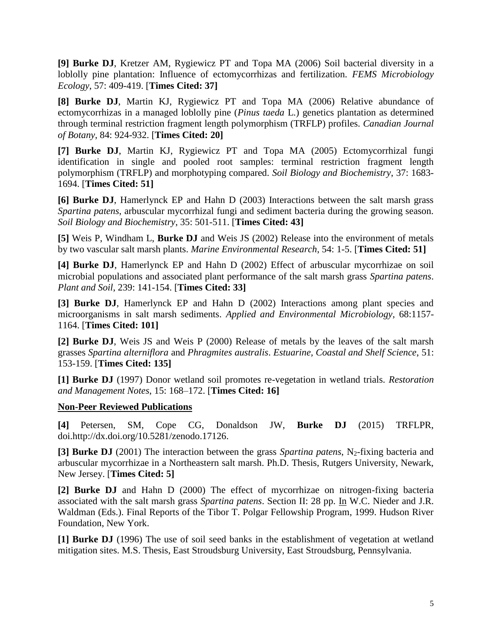**[9] Burke DJ**, Kretzer AM, Rygiewicz PT and Topa MA (2006) Soil bacterial diversity in a loblolly pine plantation: Influence of ectomycorrhizas and fertilization. *FEMS Microbiology Ecology*, 57: 409-419. [**Times Cited: 37]**

**[8] Burke DJ**, Martin KJ, Rygiewicz PT and Topa MA (2006) Relative abundance of ectomycorrhizas in a managed loblolly pine (*Pinus taeda* L.) genetics plantation as determined through terminal restriction fragment length polymorphism (TRFLP) profiles. *Canadian Journal of Botany*, 84: 924-932. [**Times Cited: 20]**

**[7] Burke DJ**, Martin KJ, Rygiewicz PT and Topa MA (2005) Ectomycorrhizal fungi identification in single and pooled root samples: terminal restriction fragment length polymorphism (TRFLP) and morphotyping compared. *Soil Biology and Biochemistry*, 37: 1683- 1694. [**Times Cited: 51]**

**[6] Burke DJ**, Hamerlynck EP and Hahn D (2003) Interactions between the salt marsh grass *Spartina patens*, arbuscular mycorrhizal fungi and sediment bacteria during the growing season. *Soil Biology and Biochemistry*, 35: 501-511. [**Times Cited: 43]**

**[5]** Weis P, Windham L, **Burke DJ** and Weis JS (2002) Release into the environment of metals by two vascular salt marsh plants. *Marine Environmental Research*, 54: 1-5. [**Times Cited: 51]**

**[4] Burke DJ**, Hamerlynck EP and Hahn D (2002) Effect of arbuscular mycorrhizae on soil microbial populations and associated plant performance of the salt marsh grass *Spartina patens*. *Plant and Soil*, 239: 141-154. [**Times Cited: 33]**

**[3] Burke DJ**, Hamerlynck EP and Hahn D (2002) Interactions among plant species and microorganisms in salt marsh sediments. *Applied and Environmental Microbiology*, 68:1157- 1164. [**Times Cited: 101]**

**[2] Burke DJ**, Weis JS and Weis P (2000) Release of metals by the leaves of the salt marsh grasses *Spartina alterniflora* and *Phragmites australis*. *Estuarine, Coastal and Shelf Science*, 51: 153-159. [**Times Cited: 135]**

**[1] Burke DJ** (1997) Donor wetland soil promotes re-vegetation in wetland trials. *Restoration and Management Notes*, 15: 168–172. [**Times Cited: 16]**

#### **Non-Peer Reviewed Publications**

**[4]** Petersen, SM, Cope CG, Donaldson JW, **Burke DJ** (2015) TRFLPR, doi.http://dx.doi.org/10.5281/zenodo.17126.

**[3] Burke DJ** (2001) The interaction between the grass *Spartina patens*, N<sub>2</sub>-fixing bacteria and arbuscular mycorrhizae in a Northeastern salt marsh. Ph.D. Thesis, Rutgers University, Newark, New Jersey. [**Times Cited: 5]**

**[2] Burke DJ** and Hahn D (2000) The effect of mycorrhizae on nitrogen-fixing bacteria associated with the salt marsh grass *Spartina patens*. Section II: 28 pp. In W.C. Nieder and J.R. Waldman (Eds.). Final Reports of the Tibor T. Polgar Fellowship Program, 1999. Hudson River Foundation, New York.

**[1] Burke DJ** (1996) The use of soil seed banks in the establishment of vegetation at wetland mitigation sites. M.S. Thesis, East Stroudsburg University, East Stroudsburg, Pennsylvania.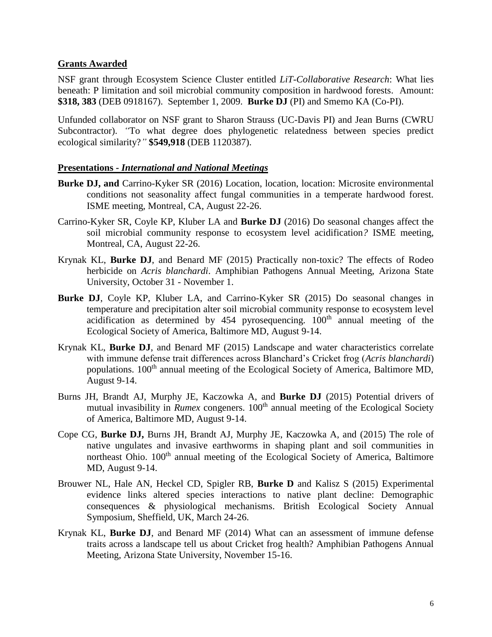#### **Grants Awarded**

NSF grant through Ecosystem Science Cluster entitled *LiT-Collaborative Research*: What lies beneath: P limitation and soil microbial community composition in hardwood forests. Amount: **\$318, 383** (DEB 0918167). September 1, 2009. **Burke DJ** (PI) and Smemo KA (Co-PI).

Unfunded collaborator on NSF grant to Sharon Strauss (UC-Davis PI) and Jean Burns (CWRU Subcontractor). *"To what degree does phylogenetic relatedness between species predict* ecological similarity?*"* **\$549,918** (DEB 1120387).

#### **Presentations -** *International and National Meetings*

- **Burke DJ, and** Carrino-Kyker SR (2016) Location, location, location: Microsite environmental conditions not seasonality affect fungal communities in a temperate hardwood forest. ISME meeting, Montreal, CA, August 22-26.
- Carrino-Kyker SR, Coyle KP, Kluber LA and **Burke DJ** (2016) Do seasonal changes affect the soil microbial community response to ecosystem level acidification*?* ISME meeting, Montreal, CA, August 22-26.
- Krynak KL, **Burke DJ**, and Benard MF (2015) Practically non-toxic? The effects of Rodeo herbicide on *Acris blanchardi*. Amphibian Pathogens Annual Meeting, Arizona State University, October 31 - November 1.
- **Burke DJ**, Coyle KP, Kluber LA, and Carrino-Kyker SR (2015) Do seasonal changes in temperature and precipitation alter soil microbial community response to ecosystem level acidification as determined by  $454$  pyrosequencing.  $100<sup>th</sup>$  annual meeting of the Ecological Society of America, Baltimore MD, August 9-14.
- Krynak KL, **Burke DJ**, and Benard MF (2015) Landscape and water characteristics correlate with immune defense trait differences across Blanchard's Cricket frog (*Acris blanchardi*) populations. 100<sup>th</sup> annual meeting of the Ecological Society of America, Baltimore MD, August 9-14.
- Burns JH, Brandt AJ, Murphy JE, Kaczowka A, and **Burke DJ** (2015) Potential drivers of mutual invasibility in *Rumex* congeners. 100<sup>th</sup> annual meeting of the Ecological Society of America, Baltimore MD, August 9-14.
- Cope CG, **Burke DJ,** Burns JH, Brandt AJ, Murphy JE, Kaczowka A, and (2015) The role of native ungulates and invasive earthworms in shaping plant and soil communities in northeast Ohio. 100<sup>th</sup> annual meeting of the Ecological Society of America, Baltimore MD, August 9-14.
- Brouwer NL, Hale AN, Heckel CD, Spigler RB, **Burke D** and Kalisz S (2015) Experimental evidence links altered species interactions to native plant decline: Demographic consequences & physiological mechanisms. British Ecological Society Annual Symposium, Sheffield, UK, March 24-26.
- Krynak KL, **Burke DJ**, and Benard MF (2014) What can an assessment of immune defense traits across a landscape tell us about Cricket frog health? Amphibian Pathogens Annual Meeting, Arizona State University, November 15-16.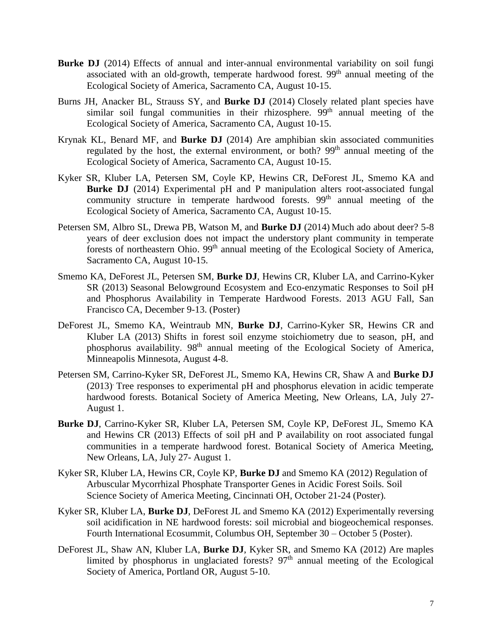- **Burke DJ** (2014) Effects of annual and inter-annual environmental variability on soil fungi associated with an old-growth, temperate hardwood forest. 99<sup>th</sup> annual meeting of the Ecological Society of America, Sacramento CA, August 10-15.
- Burns JH, Anacker BL, Strauss SY, and **Burke DJ** (2014) Closely related plant species have similar soil fungal communities in their rhizosphere. 99<sup>th</sup> annual meeting of the Ecological Society of America, Sacramento CA, August 10-15.
- Krynak KL, Benard MF, and **Burke DJ** (2014) Are amphibian skin associated communities regulated by the host, the external environment, or both? 99<sup>th</sup> annual meeting of the Ecological Society of America, Sacramento CA, August 10-15.
- Kyker SR, Kluber LA, Petersen SM, Coyle KP, Hewins CR, DeForest JL, Smemo KA and **Burke DJ** (2014) Experimental pH and P manipulation alters root-associated fungal community structure in temperate hardwood forests.  $99<sup>th</sup>$  annual meeting of the Ecological Society of America, Sacramento CA, August 10-15.
- Petersen SM, Albro SL, Drewa PB, Watson M, and **Burke DJ** (2014) Much ado about deer? 5-8 years of deer exclusion does not impact the understory plant community in temperate forests of northeastern Ohio. 99<sup>th</sup> annual meeting of the Ecological Society of America, Sacramento CA, August 10-15.
- Smemo KA, DeForest JL, Petersen SM, **Burke DJ**, Hewins CR, Kluber LA, and Carrino-Kyker SR (2013) Seasonal Belowground Ecosystem and Eco-enzymatic Responses to Soil pH and Phosphorus Availability in Temperate Hardwood Forests. 2013 AGU Fall, San Francisco CA, December 9-13. (Poster)
- DeForest JL, Smemo KA, Weintraub MN, **Burke DJ**, Carrino-Kyker SR, Hewins CR and Kluber LA (2013) Shifts in forest soil enzyme stoichiometry due to season, pH, and phosphorus availability. 98<sup>th</sup> annual meeting of the Ecological Society of America, Minneapolis Minnesota, August 4-8.
- Petersen SM, Carrino-Kyker SR, DeForest JL, Smemo KA, Hewins CR, Shaw A and **Burke DJ** (2013). Tree responses to experimental pH and phosphorus elevation in acidic temperate hardwood forests. Botanical Society of America Meeting, New Orleans, LA, July 27- August 1.
- **Burke DJ**, Carrino-Kyker SR, Kluber LA, Petersen SM, Coyle KP, DeForest JL, Smemo KA and Hewins CR (2013) Effects of soil pH and P availability on root associated fungal communities in a temperate hardwood forest. Botanical Society of America Meeting, New Orleans, LA, July 27- August 1.
- Kyker SR, Kluber LA, Hewins CR, Coyle KP, **Burke DJ** and Smemo KA (2012) Regulation of Arbuscular Mycorrhizal Phosphate Transporter Genes in Acidic Forest Soils. Soil Science Society of America Meeting, Cincinnati OH, October 21-24 (Poster).
- Kyker SR, Kluber LA, **Burke DJ**, DeForest JL and Smemo KA (2012) Experimentally reversing soil acidification in NE hardwood forests: soil microbial and biogeochemical responses. Fourth International Ecosummit, Columbus OH, September 30 – October 5 (Poster).
- DeForest JL, Shaw AN, Kluber LA, **Burke DJ**, Kyker SR, and Smemo KA (2012) Are maples limited by phosphorus in unglaciated forests?  $97<sup>th</sup>$  annual meeting of the Ecological Society of America, Portland OR, August 5-10.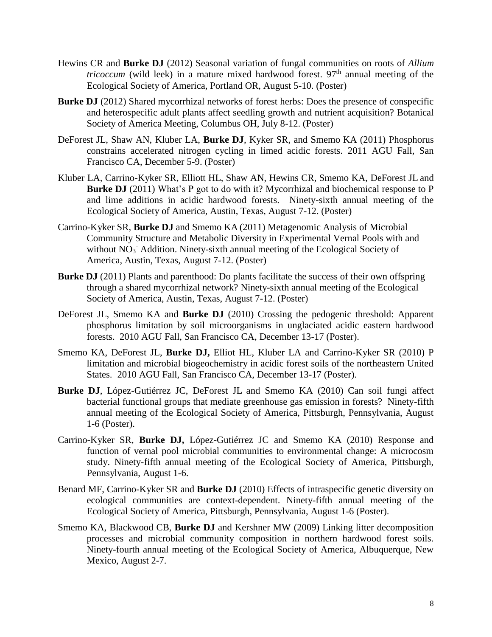- Hewins CR and **Burke DJ** (2012) Seasonal variation of fungal communities on roots of *Allium tricoccum* (wild leek) in a mature mixed hardwood forest.  $97<sup>th</sup>$  annual meeting of the Ecological Society of America, Portland OR, August 5-10. (Poster)
- **Burke DJ** (2012) Shared mycorrhizal networks of forest herbs: Does the presence of conspecific and heterospecific adult plants affect seedling growth and nutrient acquisition? Botanical Society of America Meeting, Columbus OH, July 8-12. (Poster)
- DeForest JL, Shaw AN, Kluber LA, **Burke DJ**, Kyker SR, and Smemo KA (2011) Phosphorus constrains accelerated nitrogen cycling in limed acidic forests. 2011 AGU Fall, San Francisco CA, December 5-9. (Poster)
- Kluber LA, Carrino-Kyker SR, Elliott HL, Shaw AN, Hewins CR, Smemo KA, DeForest JL and **Burke DJ** (2011) What's P got to do with it? Mycorrhizal and biochemical response to P and lime additions in acidic hardwood forests. Ninety-sixth annual meeting of the Ecological Society of America, Austin, Texas, August 7-12. (Poster)
- Carrino-Kyker SR, **Burke DJ** and Smemo KA (2011) Metagenomic Analysis of Microbial Community Structure and Metabolic Diversity in Experimental Vernal Pools with and without NO<sub>3</sub><sup>-</sup> Addition. Ninety-sixth annual meeting of the Ecological Society of America, Austin, Texas, August 7-12. (Poster)
- **Burke DJ** (2011) Plants and parenthood: Do plants facilitate the success of their own offspring through a shared mycorrhizal network? Ninety-sixth annual meeting of the Ecological Society of America, Austin, Texas, August 7-12. (Poster)
- DeForest JL, Smemo KA and **Burke DJ** (2010) Crossing the pedogenic threshold: Apparent phosphorus limitation by soil microorganisms in unglaciated acidic eastern hardwood forests. 2010 AGU Fall, San Francisco CA, December 13-17 (Poster).
- Smemo KA, DeForest JL, **Burke DJ,** Elliot HL, Kluber LA and Carrino-Kyker SR (2010) P limitation and microbial biogeochemistry in acidic forest soils of the northeastern United States. 2010 AGU Fall, San Francisco CA, December 13-17 (Poster).
- **Burke DJ**, López-Gutiérrez JC, DeForest JL and Smemo KA (2010) Can soil fungi affect bacterial functional groups that mediate greenhouse gas emission in forests? Ninety-fifth annual meeting of the Ecological Society of America, Pittsburgh, Pennsylvania, August 1-6 (Poster).
- Carrino-Kyker SR, **Burke DJ,** López-Gutiérrez JC and Smemo KA (2010) Response and function of vernal pool microbial communities to environmental change: A microcosm study. Ninety-fifth annual meeting of the Ecological Society of America, Pittsburgh, Pennsylvania, August 1-6.
- Benard MF, Carrino-Kyker SR and **Burke DJ** (2010) Effects of intraspecific genetic diversity on ecological communities are context-dependent. Ninety-fifth annual meeting of the Ecological Society of America, Pittsburgh, Pennsylvania, August 1-6 (Poster).
- Smemo KA, Blackwood CB, **Burke DJ** and Kershner MW (2009) Linking litter decomposition processes and microbial community composition in northern hardwood forest soils. Ninety-fourth annual meeting of the Ecological Society of America, Albuquerque, New Mexico, August 2-7.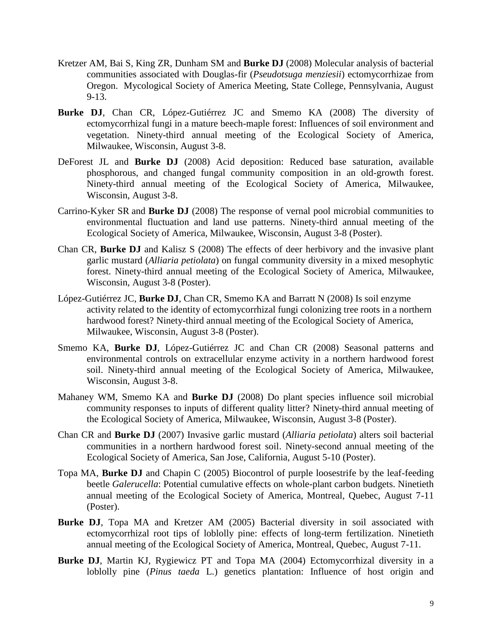- Kretzer AM, Bai S, King ZR, Dunham SM and **Burke DJ** (2008) Molecular analysis of bacterial communities associated with Douglas-fir (*Pseudotsuga menziesii*) ectomycorrhizae from Oregon. Mycological Society of America Meeting, State College, Pennsylvania, August 9-13.
- **Burke DJ**, Chan CR, López-Gutiérrez JC and Smemo KA (2008) The diversity of ectomycorrhizal fungi in a mature beech-maple forest: Influences of soil environment and vegetation. Ninety-third annual meeting of the Ecological Society of America, Milwaukee, Wisconsin, August 3-8.
- DeForest JL and **Burke DJ** (2008) Acid deposition: Reduced base saturation, available phosphorous, and changed fungal community composition in an old-growth forest. Ninety-third annual meeting of the Ecological Society of America, Milwaukee, Wisconsin, August 3-8.
- Carrino-Kyker SR and **Burke DJ** (2008) The response of vernal pool microbial communities to environmental fluctuation and land use patterns. Ninety-third annual meeting of the Ecological Society of America, Milwaukee, Wisconsin, August 3-8 (Poster).
- Chan CR, **Burke DJ** and Kalisz S (2008) The effects of deer herbivory and the invasive plant garlic mustard (*Alliaria petiolata*) on fungal community diversity in a mixed mesophytic forest. Ninety-third annual meeting of the Ecological Society of America, Milwaukee, Wisconsin, August 3-8 (Poster).
- López-Gutiérrez JC, **Burke DJ**, Chan CR, Smemo KA and Barratt N (2008) Is soil enzyme activity related to the identity of ectomycorrhizal fungi colonizing tree roots in a northern hardwood forest? Ninety-third annual meeting of the Ecological Society of America, Milwaukee, Wisconsin, August 3-8 (Poster).
- Smemo KA, **Burke DJ**, López-Gutiérrez JC and Chan CR (2008) Seasonal patterns and environmental controls on extracellular enzyme activity in a northern hardwood forest soil. Ninety-third annual meeting of the Ecological Society of America, Milwaukee, Wisconsin, August 3-8.
- Mahaney WM, Smemo KA and **Burke DJ** (2008) Do plant species influence soil microbial community responses to inputs of different quality litter? Ninety-third annual meeting of the Ecological Society of America, Milwaukee, Wisconsin, August 3-8 (Poster).
- Chan CR and **Burke DJ** (2007) Invasive garlic mustard (*Alliaria petiolata*) alters soil bacterial communities in a northern hardwood forest soil. Ninety-second annual meeting of the Ecological Society of America, San Jose, California, August 5-10 (Poster).
- Topa MA, **Burke DJ** and Chapin C (2005) Biocontrol of purple loosestrife by the leaf-feeding beetle *Galerucella*: Potential cumulative effects on whole-plant carbon budgets. Ninetieth annual meeting of the Ecological Society of America, Montreal, Quebec, August 7-11 (Poster).
- **Burke DJ**, Topa MA and Kretzer AM (2005) Bacterial diversity in soil associated with ectomycorrhizal root tips of loblolly pine: effects of long-term fertilization. Ninetieth annual meeting of the Ecological Society of America, Montreal, Quebec, August 7-11.
- **Burke DJ**, Martin KJ, Rygiewicz PT and Topa MA (2004) Ectomycorrhizal diversity in a loblolly pine (*Pinus taeda* L.) genetics plantation: Influence of host origin and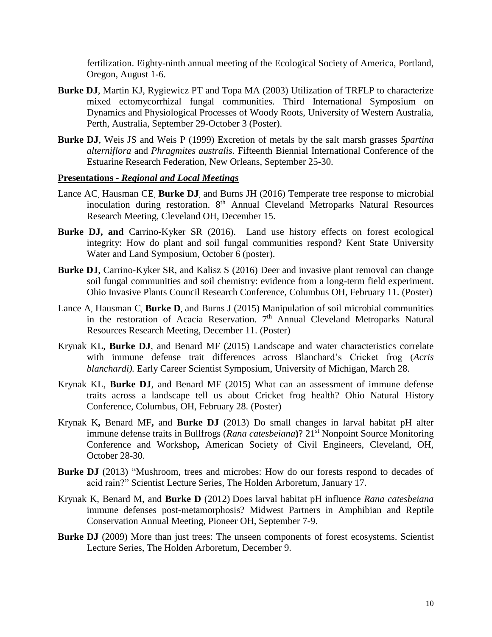fertilization. Eighty-ninth annual meeting of the Ecological Society of America, Portland, Oregon, August 1-6.

- **Burke DJ**, Martin KJ, Rygiewicz PT and Topa MA (2003) Utilization of TRFLP to characterize mixed ectomycorrhizal fungal communities. Third International Symposium on Dynamics and Physiological Processes of Woody Roots, University of Western Australia, Perth, Australia, September 29-October 3 (Poster).
- **Burke DJ**, Weis JS and Weis P (1999) Excretion of metals by the salt marsh grasses *Spartina alterniflora* and *Phragmites australis*. Fifteenth Biennial International Conference of the Estuarine Research Federation, New Orleans, September 25-30.

#### **Presentations -** *Regional and Local Meetings*

- Lance AC, Hausman CE, **Burke DJ**, and Burns JH (2016) Temperate tree response to microbial inoculation during restoration. 8<sup>th</sup> Annual Cleveland Metroparks Natural Resources Research Meeting, Cleveland OH, December 15.
- **Burke DJ, and** Carrino-Kyker SR (2016). Land use history effects on forest ecological integrity: How do plant and soil fungal communities respond? Kent State University Water and Land Symposium, October 6 (poster).
- **Burke DJ**, Carrino-Kyker SR, and Kalisz S (2016) Deer and invasive plant removal can change soil fungal communities and soil chemistry: evidence from a long-term field experiment. Ohio Invasive Plants Council Research Conference, Columbus OH, February 11. (Poster)
- Lance A, Hausman C, **Burke D**, and Burns J (2015) Manipulation of soil microbial communities in the restoration of Acacia Reservation. 7<sup>th</sup> Annual Cleveland Metroparks Natural Resources Research Meeting, December 11. (Poster)
- Krynak KL, **Burke DJ**, and Benard MF (2015) Landscape and water characteristics correlate with immune defense trait differences across Blanchard's Cricket frog (*Acris blanchardi).* Early Career Scientist Symposium, University of Michigan, March 28.
- Krynak KL, **Burke DJ**, and Benard MF (2015) What can an assessment of immune defense traits across a landscape tell us about Cricket frog health? Ohio Natural History Conference, Columbus, OH, February 28. (Poster)
- Krynak K**,** Benard MF**,** and **Burke DJ** (2013) Do small changes in larval habitat pH alter immune defense traits in Bullfrogs (*Rana catesbeiana*)? 21<sup>st</sup> Nonpoint Source Monitoring Conference and Workshop**,** American Society of Civil Engineers, Cleveland, OH, October 28-30.
- **Burke DJ** (2013) "Mushroom, trees and microbes: How do our forests respond to decades of acid rain?" Scientist Lecture Series, The Holden Arboretum, January 17.
- Krynak K, Benard M, and **Burke D** (2012) Does larval habitat pH influence *Rana catesbeiana* immune defenses post-metamorphosis? Midwest Partners in Amphibian and Reptile Conservation Annual Meeting, Pioneer OH, September 7-9.
- **Burke DJ** (2009) More than just trees: The unseen components of forest ecosystems. Scientist Lecture Series, The Holden Arboretum, December 9.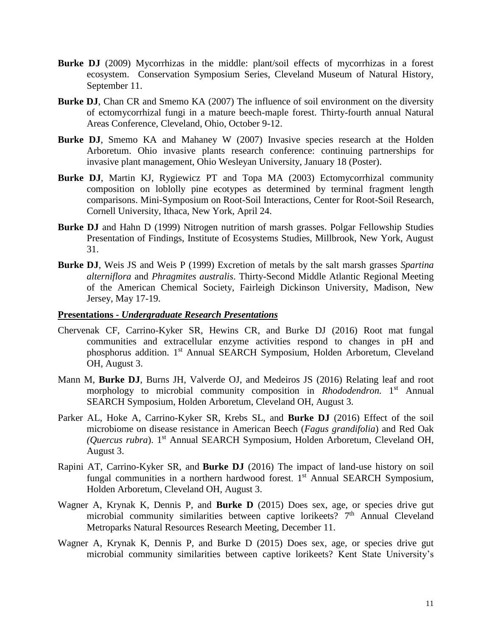- **Burke DJ** (2009) Mycorrhizas in the middle: plant/soil effects of mycorrhizas in a forest ecosystem. Conservation Symposium Series, Cleveland Museum of Natural History, September 11.
- **Burke DJ**, Chan CR and Smemo KA (2007) The influence of soil environment on the diversity of ectomycorrhizal fungi in a mature beech-maple forest. Thirty-fourth annual Natural Areas Conference, Cleveland, Ohio, October 9-12.
- **Burke DJ**, Smemo KA and Mahaney W (2007) Invasive species research at the Holden Arboretum. Ohio invasive plants research conference: continuing partnerships for invasive plant management, Ohio Wesleyan University, January 18 (Poster).
- **Burke DJ**, Martin KJ, Rygiewicz PT and Topa MA (2003) Ectomycorrhizal community composition on loblolly pine ecotypes as determined by terminal fragment length comparisons. Mini-Symposium on Root-Soil Interactions, Center for Root-Soil Research, Cornell University, Ithaca, New York, April 24.
- **Burke DJ** and Hahn D (1999) Nitrogen nutrition of marsh grasses. Polgar Fellowship Studies Presentation of Findings, Institute of Ecosystems Studies, Millbrook, New York, August 31.
- **Burke DJ**, Weis JS and Weis P (1999) Excretion of metals by the salt marsh grasses *Spartina alterniflora* and *Phragmites australis*. Thirty-Second Middle Atlantic Regional Meeting of the American Chemical Society, Fairleigh Dickinson University, Madison, New Jersey, May 17-19.

#### **Presentations -** *Undergraduate Research Presentations*

- Chervenak CF, Carrino-Kyker SR, Hewins CR, and Burke DJ (2016) Root mat fungal communities and extracellular enzyme activities respond to changes in pH and phosphorus addition. 1<sup>st</sup> Annual SEARCH Symposium, Holden Arboretum, Cleveland OH, August 3.
- Mann M, **Burke DJ**, Burns JH, Valverde OJ, and Medeiros JS (2016) Relating leaf and root morphology to microbial community composition in *Rhododendron*. 1st Annual SEARCH Symposium, Holden Arboretum, Cleveland OH, August 3.
- Parker AL, Hoke A, Carrino-Kyker SR, Krebs SL, and **Burke DJ** (2016) Effect of the soil microbiome on disease resistance in American Beech (*Fagus grandifolia*) and Red Oak *(Quercus rubra*). 1 st Annual SEARCH Symposium, Holden Arboretum, Cleveland OH, August 3.
- Rapini AT, Carrino-Kyker SR, and **Burke DJ** (2016) The impact of land-use history on soil fungal communities in a northern hardwood forest. 1<sup>st</sup> Annual SEARCH Symposium, Holden Arboretum, Cleveland OH, August 3.
- Wagner A, Krynak K, Dennis P, and **Burke D** (2015) Does sex, age, or species drive gut microbial community similarities between captive lorikeets?  $7<sup>th</sup>$  Annual Cleveland Metroparks Natural Resources Research Meeting, December 11.
- Wagner A, Krynak K, Dennis P, and Burke D (2015) Does sex, age, or species drive gut microbial community similarities between captive lorikeets? Kent State University's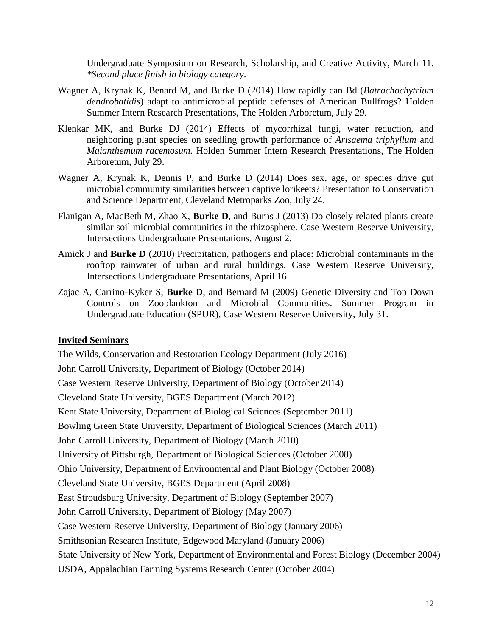Undergraduate Symposium on Research, Scholarship, and Creative Activity, March 11. *\*Second place finish in biology category*.

- Wagner A, Krynak K, Benard M, and Burke D (2014) How rapidly can Bd (*Batrachochytrium dendrobatidis*) adapt to antimicrobial peptide defenses of American Bullfrogs? Holden Summer Intern Research Presentations, The Holden Arboretum, July 29.
- Klenkar MK, and Burke DJ (2014) Effects of mycorrhizal fungi, water reduction, and neighboring plant species on seedling growth performance of *Arisaema triphyllum* and *Maianthemum racemosum.* Holden Summer Intern Research Presentations, The Holden Arboretum, July 29.
- Wagner A, Krynak K, Dennis P, and Burke D (2014) Does sex, age, or species drive gut microbial community similarities between captive lorikeets? Presentation to Conservation and Science Department, Cleveland Metroparks Zoo, July 24.
- Flanigan A, MacBeth M, Zhao X, **Burke D**, and Burns J (2013) Do closely related plants create similar soil microbial communities in the rhizosphere. Case Western Reserve University, Intersections Undergraduate Presentations, August 2.
- Amick J and **Burke D** (2010) Precipitation, pathogens and place: Microbial contaminants in the rooftop rainwater of urban and rural buildings. Case Western Reserve University, Intersections Undergraduate Presentations, April 16.
- Zajac A, Carrino-Kyker S, **Burke D**, and Bernard M (2009) Genetic Diversity and Top Down Controls on Zooplankton and Microbial Communities. Summer Program in Undergraduate Education (SPUR), Case Western Reserve University, July 31.

#### **Invited Seminars**

The Wilds, Conservation and Restoration Ecology Department (July 2016) John Carroll University, Department of Biology (October 2014) Case Western Reserve University, Department of Biology (October 2014) Cleveland State University, BGES Department (March 2012) Kent State University, Department of Biological Sciences (September 2011) Bowling Green State University, Department of Biological Sciences (March 2011) John Carroll University, Department of Biology (March 2010) University of Pittsburgh, Department of Biological Sciences (October 2008) Ohio University, Department of Environmental and Plant Biology (October 2008) Cleveland State University, BGES Department (April 2008) East Stroudsburg University, Department of Biology (September 2007) John Carroll University, Department of Biology (May 2007) Case Western Reserve University, Department of Biology (January 2006) Smithsonian Research Institute, Edgewood Maryland (January 2006) State University of New York, Department of Environmental and Forest Biology (December 2004) USDA, Appalachian Farming Systems Research Center (October 2004)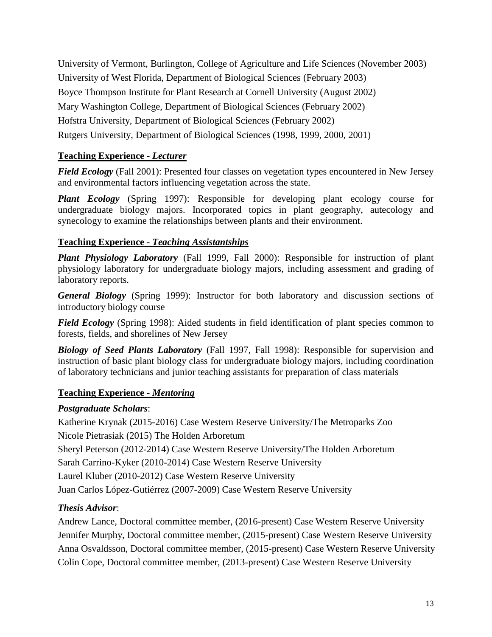University of Vermont, Burlington, College of Agriculture and Life Sciences (November 2003) University of West Florida, Department of Biological Sciences (February 2003) Boyce Thompson Institute for Plant Research at Cornell University (August 2002) Mary Washington College, Department of Biological Sciences (February 2002) Hofstra University, Department of Biological Sciences (February 2002) Rutgers University, Department of Biological Sciences (1998, 1999, 2000, 2001)

# **Teaching Experience -** *Lecturer*

*Field Ecology* (Fall 2001): Presented four classes on vegetation types encountered in New Jersey and environmental factors influencing vegetation across the state.

*Plant Ecology* (Spring 1997): Responsible for developing plant ecology course for undergraduate biology majors. Incorporated topics in plant geography, autecology and synecology to examine the relationships between plants and their environment.

# **Teaching Experience -** *Teaching Assistantships*

*Plant Physiology Laboratory* (Fall 1999, Fall 2000): Responsible for instruction of plant physiology laboratory for undergraduate biology majors, including assessment and grading of laboratory reports.

*General Biology* (Spring 1999): Instructor for both laboratory and discussion sections of introductory biology course

*Field Ecology* (Spring 1998): Aided students in field identification of plant species common to forests, fields, and shorelines of New Jersey

*Biology of Seed Plants Laboratory* (Fall 1997, Fall 1998): Responsible for supervision and instruction of basic plant biology class for undergraduate biology majors, including coordination of laboratory technicians and junior teaching assistants for preparation of class materials

# **Teaching Experience -** *Mentoring*

### *Postgraduate Scholars*:

Katherine Krynak (2015-2016) Case Western Reserve University/The Metroparks Zoo Nicole Pietrasiak (2015) The Holden Arboretum

Sheryl Peterson (2012-2014) Case Western Reserve University/The Holden Arboretum

Sarah Carrino-Kyker (2010-2014) Case Western Reserve University

Laurel Kluber (2010-2012) Case Western Reserve University

Juan Carlos López-Gutiérrez (2007-2009) Case Western Reserve University

# *Thesis Advisor*:

Andrew Lance, Doctoral committee member, (2016-present) Case Western Reserve University Jennifer Murphy, Doctoral committee member, (2015-present) Case Western Reserve University Anna Osvaldsson, Doctoral committee member, (2015-present) Case Western Reserve University Colin Cope, Doctoral committee member, (2013-present) Case Western Reserve University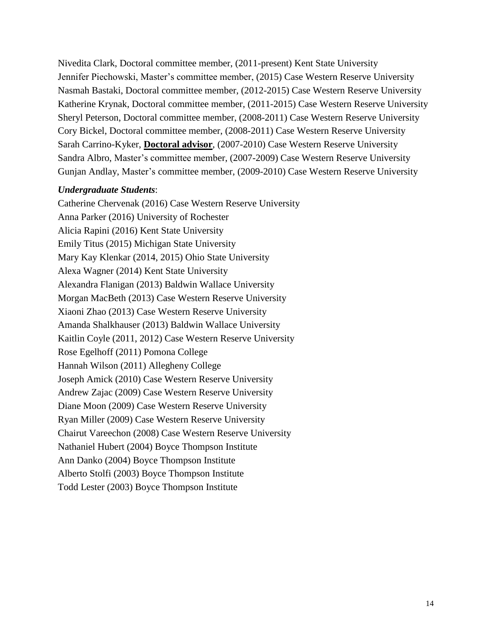Nivedita Clark, Doctoral committee member, (2011-present) Kent State University Jennifer Piechowski, Master's committee member, (2015) Case Western Reserve University Nasmah Bastaki, Doctoral committee member, (2012-2015) Case Western Reserve University Katherine Krynak, Doctoral committee member, (2011-2015) Case Western Reserve University Sheryl Peterson, Doctoral committee member, (2008-2011) Case Western Reserve University Cory Bickel, Doctoral committee member, (2008-2011) Case Western Reserve University Sarah Carrino-Kyker, **Doctoral advisor**, (2007-2010) Case Western Reserve University Sandra Albro, Master's committee member, (2007-2009) Case Western Reserve University Gunjan Andlay, Master's committee member, (2009-2010) Case Western Reserve University

#### *Undergraduate Students*:

Catherine Chervenak (2016) Case Western Reserve University Anna Parker (2016) University of Rochester Alicia Rapini (2016) Kent State University Emily Titus (2015) Michigan State University Mary Kay Klenkar (2014, 2015) Ohio State University Alexa Wagner (2014) Kent State University Alexandra Flanigan (2013) Baldwin Wallace University Morgan MacBeth (2013) Case Western Reserve University Xiaoni Zhao (2013) Case Western Reserve University Amanda Shalkhauser (2013) Baldwin Wallace University Kaitlin Coyle (2011, 2012) Case Western Reserve University Rose Egelhoff (2011) Pomona College Hannah Wilson (2011) Allegheny College Joseph Amick (2010) Case Western Reserve University Andrew Zajac (2009) Case Western Reserve University Diane Moon (2009) Case Western Reserve University Ryan Miller (2009) Case Western Reserve University Chairut Vareechon (2008) Case Western Reserve University Nathaniel Hubert (2004) Boyce Thompson Institute Ann Danko (2004) Boyce Thompson Institute Alberto Stolfi (2003) Boyce Thompson Institute Todd Lester (2003) Boyce Thompson Institute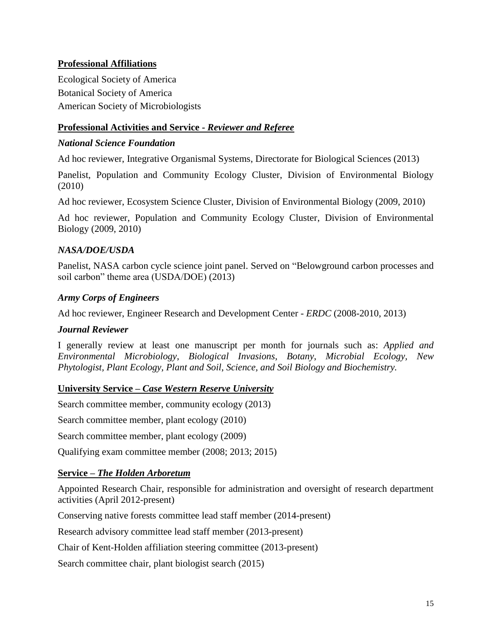## **Professional Affiliations**

Ecological Society of America Botanical Society of America American Society of Microbiologists

## **Professional Activities and Service -** *Reviewer and Referee*

## *National Science Foundation*

Ad hoc reviewer, Integrative Organismal Systems, Directorate for Biological Sciences (2013)

Panelist, Population and Community Ecology Cluster, Division of Environmental Biology (2010)

Ad hoc reviewer, Ecosystem Science Cluster, Division of Environmental Biology (2009, 2010)

Ad hoc reviewer, Population and Community Ecology Cluster, Division of Environmental Biology (2009, 2010)

# *NASA/DOE/USDA*

Panelist, NASA carbon cycle science joint panel. Served on "Belowground carbon processes and soil carbon" theme area (USDA/DOE) (2013)

# *Army Corps of Engineers*

Ad hoc reviewer, Engineer Research and Development Center *- ERDC* (2008-2010, 2013)

### *Journal Reviewer*

I generally review at least one manuscript per month for journals such as: *Applied and Environmental Microbiology*, *Biological Invasions*, *Botany*, *Microbial Ecology, New Phytologist, Plant Ecology, Plant and Soil*, *Science, and Soil Biology and Biochemistry.* 

### **University Service –** *Case Western Reserve University*

Search committee member, community ecology (2013)

Search committee member, plant ecology (2010)

Search committee member, plant ecology (2009)

Qualifying exam committee member (2008; 2013; 2015)

# **Service –** *The Holden Arboretum*

Appointed Research Chair, responsible for administration and oversight of research department activities (April 2012-present)

Conserving native forests committee lead staff member (2014-present)

Research advisory committee lead staff member (2013-present)

Chair of Kent-Holden affiliation steering committee (2013-present)

Search committee chair, plant biologist search (2015)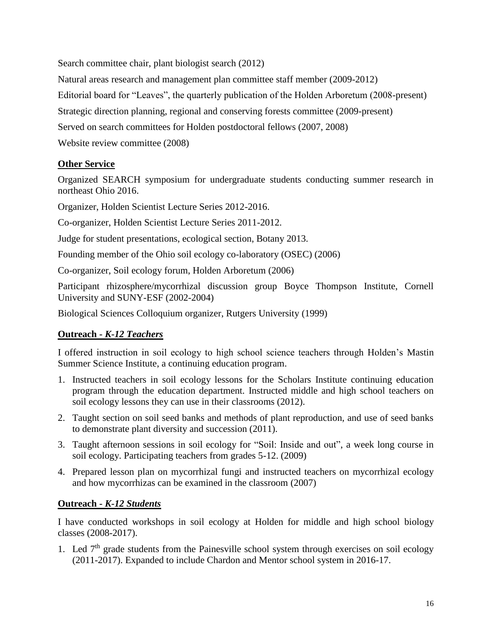Search committee chair, plant biologist search (2012)

Natural areas research and management plan committee staff member (2009-2012)

Editorial board for "Leaves", the quarterly publication of the Holden Arboretum (2008-present)

Strategic direction planning, regional and conserving forests committee (2009-present)

Served on search committees for Holden postdoctoral fellows (2007, 2008)

Website review committee (2008)

# **Other Service**

Organized SEARCH symposium for undergraduate students conducting summer research in northeast Ohio 2016.

Organizer, Holden Scientist Lecture Series 2012-2016.

Co-organizer, Holden Scientist Lecture Series 2011-2012.

Judge for student presentations, ecological section, Botany 2013.

Founding member of the Ohio soil ecology co-laboratory (OSEC) (2006)

Co-organizer, Soil ecology forum, Holden Arboretum (2006)

Participant rhizosphere/mycorrhizal discussion group Boyce Thompson Institute, Cornell University and SUNY-ESF (2002-2004)

Biological Sciences Colloquium organizer, Rutgers University (1999)

# **Outreach -** *K-12 Teachers*

I offered instruction in soil ecology to high school science teachers through Holden's Mastin Summer Science Institute, a continuing education program.

- 1. Instructed teachers in soil ecology lessons for the Scholars Institute continuing education program through the education department. Instructed middle and high school teachers on soil ecology lessons they can use in their classrooms (2012).
- 2. Taught section on soil seed banks and methods of plant reproduction, and use of seed banks to demonstrate plant diversity and succession (2011).
- 3. Taught afternoon sessions in soil ecology for "Soil: Inside and out", a week long course in soil ecology. Participating teachers from grades 5-12. (2009)
- 4. Prepared lesson plan on mycorrhizal fungi and instructed teachers on mycorrhizal ecology and how mycorrhizas can be examined in the classroom (2007)

### **Outreach -** *K-12 Students*

I have conducted workshops in soil ecology at Holden for middle and high school biology classes (2008-2017).

1. Led  $7<sup>th</sup>$  grade students from the Painesville school system through exercises on soil ecology (2011-2017). Expanded to include Chardon and Mentor school system in 2016-17.